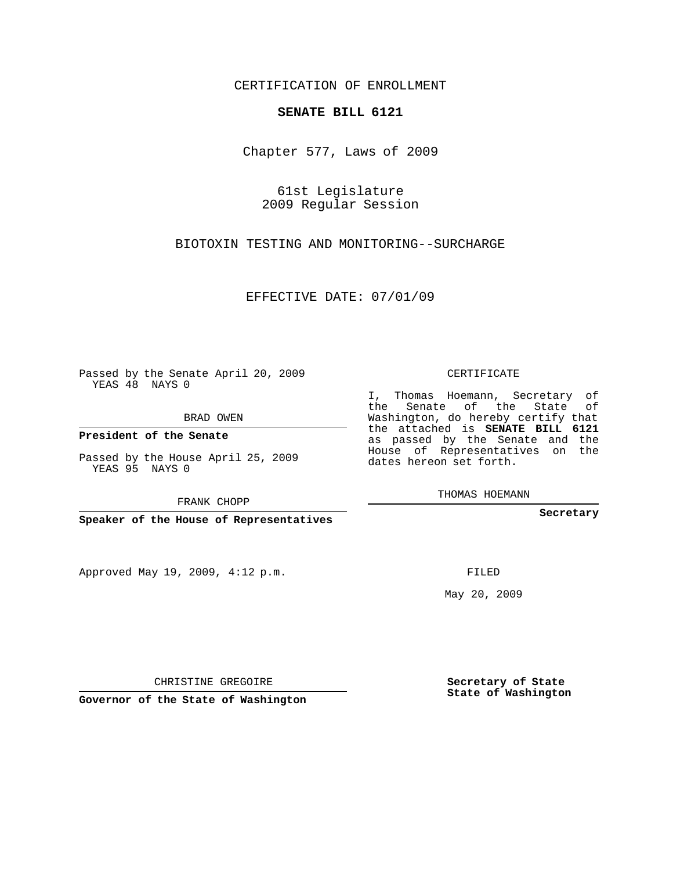## CERTIFICATION OF ENROLLMENT

## **SENATE BILL 6121**

Chapter 577, Laws of 2009

61st Legislature 2009 Regular Session

BIOTOXIN TESTING AND MONITORING--SURCHARGE

EFFECTIVE DATE: 07/01/09

Passed by the Senate April 20, 2009 YEAS 48 NAYS 0

BRAD OWEN

**President of the Senate**

Passed by the House April 25, 2009 YEAS 95 NAYS 0

FRANK CHOPP

**Speaker of the House of Representatives**

Approved May 19, 2009, 4:12 p.m.

CERTIFICATE

I, Thomas Hoemann, Secretary of the Senate of the State of Washington, do hereby certify that the attached is **SENATE BILL 6121** as passed by the Senate and the House of Representatives on the dates hereon set forth.

THOMAS HOEMANN

**Secretary**

FILED

May 20, 2009

**Secretary of State State of Washington**

CHRISTINE GREGOIRE

**Governor of the State of Washington**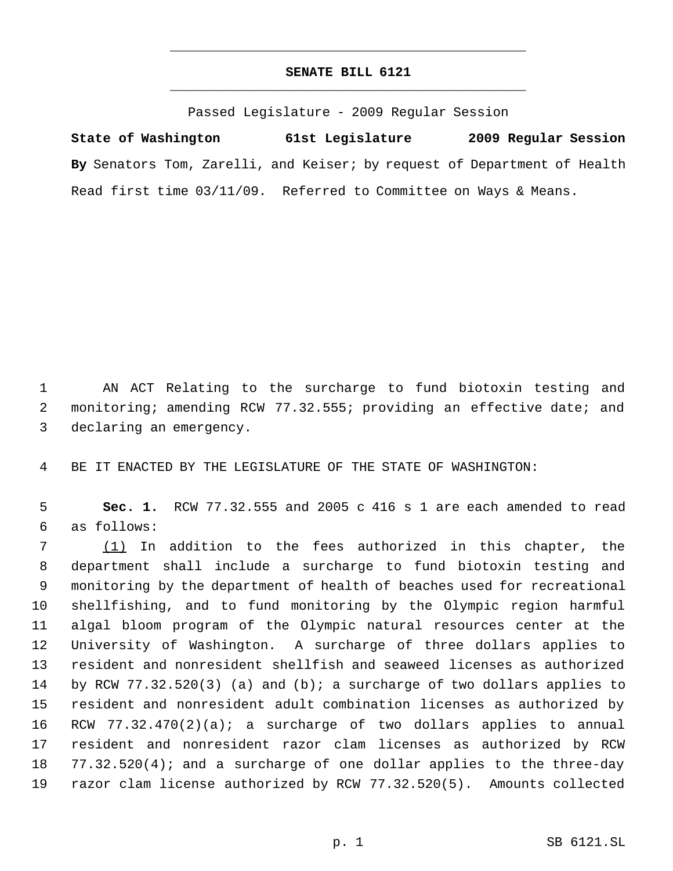## **SENATE BILL 6121** \_\_\_\_\_\_\_\_\_\_\_\_\_\_\_\_\_\_\_\_\_\_\_\_\_\_\_\_\_\_\_\_\_\_\_\_\_\_\_\_\_\_\_\_\_

\_\_\_\_\_\_\_\_\_\_\_\_\_\_\_\_\_\_\_\_\_\_\_\_\_\_\_\_\_\_\_\_\_\_\_\_\_\_\_\_\_\_\_\_\_

Passed Legislature - 2009 Regular Session

**State of Washington 61st Legislature 2009 Regular Session By** Senators Tom, Zarelli, and Keiser; by request of Department of Health Read first time 03/11/09. Referred to Committee on Ways & Means.

 AN ACT Relating to the surcharge to fund biotoxin testing and monitoring; amending RCW 77.32.555; providing an effective date; and declaring an emergency.

BE IT ENACTED BY THE LEGISLATURE OF THE STATE OF WASHINGTON:

 **Sec. 1.** RCW 77.32.555 and 2005 c 416 s 1 are each amended to read as follows:

 (1) In addition to the fees authorized in this chapter, the department shall include a surcharge to fund biotoxin testing and monitoring by the department of health of beaches used for recreational shellfishing, and to fund monitoring by the Olympic region harmful algal bloom program of the Olympic natural resources center at the University of Washington. A surcharge of three dollars applies to resident and nonresident shellfish and seaweed licenses as authorized by RCW 77.32.520(3) (a) and (b); a surcharge of two dollars applies to resident and nonresident adult combination licenses as authorized by RCW 77.32.470(2)(a); a surcharge of two dollars applies to annual resident and nonresident razor clam licenses as authorized by RCW 77.32.520(4); and a surcharge of one dollar applies to the three-day razor clam license authorized by RCW 77.32.520(5). Amounts collected